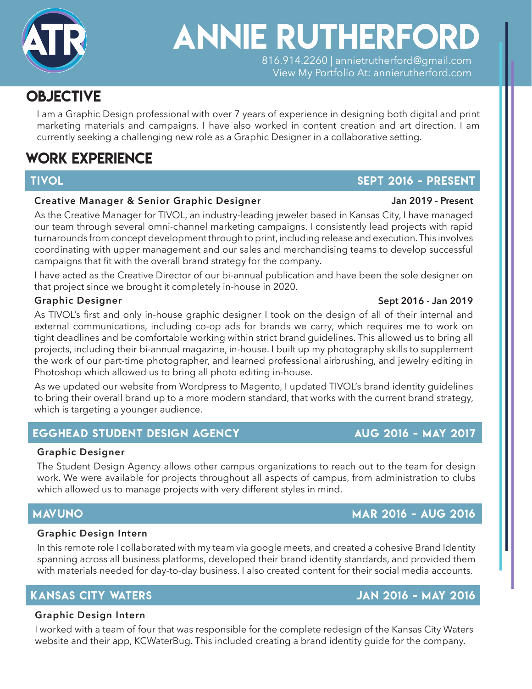ANNIE Rutherford 816.914.2260 | annietrutherford@gmail.com View My Portfolio At: annierutherford.com GRAPHIC DESIGNER

### OBJECTIVE  $\cdots$   $\cdots$

I am a Graphic Design professional with over 7 years of experience in designing both digital and print  $\cdot$ 9  $\cdot$   $\cdot$   $\cdot$   $\cdot$ currently seeking a challenging new role as a Graphic Designer in a collaborative setting. marketing materials and campaigns. I have also worked in content creation and art direction. I am

**annie steinert**

GRAPHIC DESIGNER

### PMS 803 U WORK Experience

### **Creative Manager & Senior Graphic Designer**

As the Creative Manager for TIVOL, an industry-leading jeweler based in Kansas City, I have managed our team through several omni-channel marketing campaigns. I consistently lead projects with rapid turnarounds from concept development through to print, including release and execution. This involves coordinating with upper management and our sales and merchandising teams to develop successful campaigns that fit with the overall brand strategy for the company.

I have acted as the Creative Director of our bi-annual publication and have been the sole designer on that project since we brought it completely in-house in 2020.

### **Graphic Designer**

As TIVOL's first and only in-house graphic designer I took on the design of all of their internal and external communications, including co-op ads for brands we carry, which requires me to work on tight deadlines and be comfortable working within strict brand guidelines. This allowed us to bring all projects, including their bi-annual magazine, in-house. I built up my photography skills to supplement the work of our part-time photographer, and learned professional airbrushing, and jewelry editing in Photoshop which allowed us to bring all photo editing in-house.

As we updated our website from Wordpress to Magento, I updated TIVOL's brand identity guidelines to bring their overall brand up to a more modern standard, that works with the current brand strategy, which is targeting a younger audience.

# EGGHEAD STUDENT DESIGN AGENCY AUG 2016 - MAY 2017

### **Graphic Designer**

The Student Design Agency allows other campus organizations to reach out to the team for design work. We were available for projects throughout all aspects of campus, from administration to clubs which allowed us to manage projects with very different styles in mind.

### Mavuno mar 2016 - aug 2016

### **Graphic Design Intern**

In this remote role I collaborated with my team via google meets, and created a cohesive Brand Identity spanning across all business platforms, developed their brand identity standards, and provided them with materials needed for day-to-day business. I also created content for their social media accounts.

### **Graphic Design Intern**

I worked with a team of four that was responsible for the complete redesign of the Kansas City Waters website and their app, KCWaterBug. This included creating a brand identity guide for the company.

# TIVOL PRESENT AND THE SEPT 2016 - PRESENT

### Kansas City Waters JAN 2016 - MAY 2016

# **Jan 2019 - Present**

**Sept 2016 - Jan 2019**